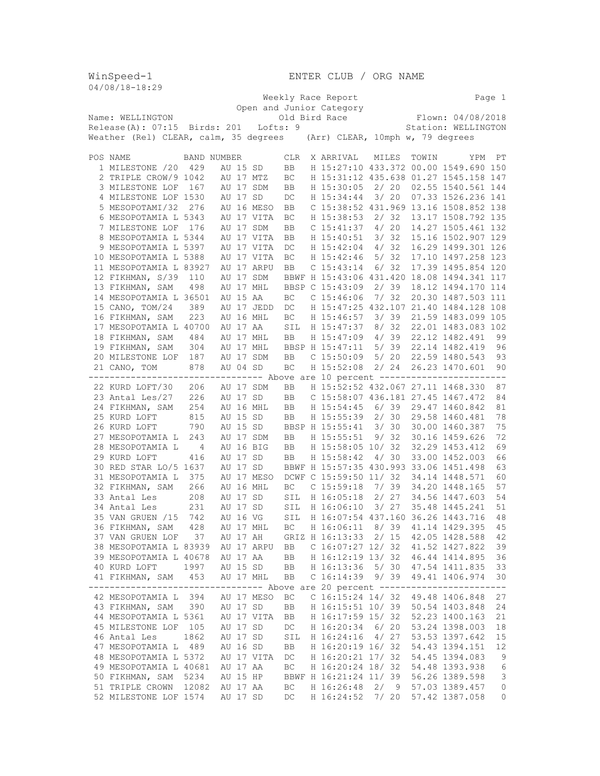WinSpeed-1<br>04/08/18-18:29

ENTER CLUB / ORG NAME

| 04/00/10-10:29                                                                                                     |                                                                                                          |             |          |          |             |      |  |                                                |       |       |       |                    |                |
|--------------------------------------------------------------------------------------------------------------------|----------------------------------------------------------------------------------------------------------|-------------|----------|----------|-------------|------|--|------------------------------------------------|-------|-------|-------|--------------------|----------------|
|                                                                                                                    |                                                                                                          |             |          |          |             |      |  | Weekly Race Report                             |       |       |       |                    | Page 1         |
|                                                                                                                    |                                                                                                          |             |          |          |             |      |  | Open and Junior Category                       |       |       |       |                    |                |
| Old Bird Race<br>Flown: 04/08/2018<br>Name: WELLINGTON                                                             |                                                                                                          |             |          |          |             |      |  |                                                |       |       |       |                    |                |
| Release(A): 07:15 Birds: 201 Lofts: 9<br>Station: WELLINGTON                                                       |                                                                                                          |             |          |          |             |      |  |                                                |       |       |       |                    |                |
| Weather (Rel) CLEAR, calm, 35 degrees (Arr) CLEAR, 10mph w, 79 degrees                                             |                                                                                                          |             |          |          |             |      |  |                                                |       |       |       |                    |                |
|                                                                                                                    |                                                                                                          |             |          |          |             |      |  |                                                |       |       |       |                    |                |
|                                                                                                                    | POS NAME                                                                                                 | BAND NUMBER |          |          |             | CLR. |  | X ARRIVAL                                      |       | MILES | TOWIN | YPM                | PT             |
|                                                                                                                    | 1 MILESTONE /20                                                                                          | 429         |          | AU 15 SD |             | BB   |  | H 15:27:10 433.372 00.00 1549.690 150          |       |       |       |                    |                |
|                                                                                                                    | 2 TRIPLE CROW/9 1042                                                                                     |             |          |          | AU 17 MTZ   | ВC   |  | H 15:31:12 435.638 01.27 1545.158 147          |       |       |       |                    |                |
|                                                                                                                    | 3 MILESTONE LOF                                                                                          | 167         |          |          | AU 17 SDM   | BB   |  | H 15:30:05                                     | 2/ 20 |       |       | 02.55 1540.561 144 |                |
|                                                                                                                    | 4 MILESTONE LOF 1530                                                                                     |             |          | AU 17 SD |             | DC   |  | H 15:34:44                                     | 3/20  |       |       | 07.33 1526.236 141 |                |
|                                                                                                                    | 5 MESOPOTAMI/32                                                                                          | 276         |          |          | AU 16 MESO  | BB   |  | C 15:38:52 431.969 13.16 1508.852 138          |       |       |       |                    |                |
|                                                                                                                    | 6 MESOPOTAMIA L 5343                                                                                     |             |          |          | AU 17 VITA  | BC   |  | H 15:38:53                                     |       | 2/32  |       | 13.17 1508.792 135 |                |
|                                                                                                                    | 7 MILESTONE LOF                                                                                          | 176         |          |          | AU 17 SDM   | BB   |  | C <sub>15:41:37</sub>                          |       | 4/20  |       | 14.27 1505.461 132 |                |
|                                                                                                                    | 8 MESOPOTAMIA L 5344                                                                                     |             |          |          | AU 17 VITA  | BB   |  | H 15:40:51                                     |       | 3/32  |       | 15.16 1502.907 129 |                |
|                                                                                                                    | 9 MESOPOTAMIA L 5397                                                                                     |             |          |          | AU 17 VITA  | DC   |  | H 15:42:04                                     |       | 4/32  |       | 16.29 1499.301 126 |                |
|                                                                                                                    | 10 MESOPOTAMIA L 5388                                                                                    |             |          |          | AU 17 VITA  | ВC   |  | H 15:42:46                                     | 5/32  |       |       | 17.10 1497.258 123 |                |
|                                                                                                                    | 11 MESOPOTAMIA L 83927                                                                                   |             |          |          | AU 17 ARPU  |      |  | $C$ 15:43:14                                   |       | 6/ 32 |       | 17.39 1495.854 120 |                |
|                                                                                                                    | 12 FIKHMAN, S/39                                                                                         |             |          |          |             | BB   |  |                                                |       |       |       |                    |                |
|                                                                                                                    |                                                                                                          | 110         |          |          | AU 17 SDM   |      |  | BBWF H 15:43:06 431.420 18.08 1494.341 117     |       |       |       |                    |                |
|                                                                                                                    | 13 FIKHMAN, SAM                                                                                          | 498         |          |          | AU 17 MHL   |      |  | BBSP C 15:43:09                                |       | 2/39  |       | 18.12 1494.170 114 |                |
|                                                                                                                    | 14 MESOPOTAMIA L 36501                                                                                   |             |          | AU 15 AA |             | ВC   |  | $C$ 15:46:06                                   | 7/32  |       |       | 20.30 1487.503 111 |                |
|                                                                                                                    | 15 CANO, TOM/24                                                                                          | 389         |          |          | AU 17 JEDD  | DC   |  | H 15:47:25 432.107 21.40 1484.128 108          |       |       |       |                    |                |
|                                                                                                                    | 16 FIKHMAN, SAM                                                                                          | 223         |          |          | AU 16 MHL   | BC   |  | H 15:46:57                                     | 3/39  |       |       | 21.59 1483.099 105 |                |
|                                                                                                                    | 17 MESOPOTAMIA L 40700                                                                                   |             |          | AU 17 AA |             | SIL  |  | H 15:47:37                                     | 8/32  |       |       | 22.01 1483.083 102 |                |
|                                                                                                                    | 18 FIKHMAN, SAM                                                                                          | 484         |          |          | AU 17 MHL   | BB   |  | H 15:47:09                                     |       | 4/39  |       | 22.12 1482.491     | 99             |
|                                                                                                                    | 19 FIKHMAN, SAM                                                                                          | 304         |          |          | AU 17 MHL   |      |  | BBSP H 15:47:11                                | 5/39  |       |       | 22.14 1482.419     | 96             |
|                                                                                                                    | 20 MILESTONE LOF                                                                                         | 187         |          |          | AU 17 SDM   | BB   |  | $C$ 15:50:09                                   |       | 5/20  |       | 22.59 1480.543     | 93             |
|                                                                                                                    | 21 CANO, TOM                                                                                             | 878         |          | AU 04 SD |             | BC   |  | H 15:52:08                                     |       | 2/24  |       | 26.23 1470.601     | 90             |
| -------------------<br>------------- Above are 10 percent ----------------<br>$- - - - - -$                        |                                                                                                          |             |          |          |             |      |  |                                                |       |       |       |                    |                |
|                                                                                                                    | 22 KURD LOFT/30                                                                                          | 206         |          |          | AU 17 SDM   | BB   |  | H 15:52:52 432.067 27.11 1468.330              |       |       |       |                    | 87             |
|                                                                                                                    | 23 Antal Les/27                                                                                          | 226         |          | AU 17 SD |             | BB   |  | C 15:58:07 436.181 27.45 1467.472              |       |       |       |                    | 84             |
|                                                                                                                    | 24 FIKHMAN, SAM                                                                                          | 254         |          |          | AU 16 MHL   | BB   |  | H 15:54:45                                     |       | 6/39  |       | 29.47 1460.842     | 81             |
|                                                                                                                    | 25 KURD LOFT                                                                                             | 815         |          | AU 15 SD |             | BB   |  | H 15:55:39                                     |       | 2/30  |       | 29.58 1460.481     | 78             |
|                                                                                                                    | 26 KURD LOFT                                                                                             | 790         |          | AU 15 SD |             |      |  | BBSP H 15:55:41                                |       | 3/30  |       | 30.00 1460.387     | 75             |
|                                                                                                                    | 27 MESOPOTAMIA L                                                                                         | 243         |          |          | AU 17 SDM   | BB   |  | H 15:55:51                                     |       | 9/32  |       | 30.16 1459.626     | 72             |
|                                                                                                                    | 28 MESOPOTAMIA L                                                                                         | 4           |          |          | AU 16 BIG   | BB   |  | H 15:58:05 10/ 32                              |       |       |       | 32.29 1453.412     | 69             |
|                                                                                                                    | 29 KURD LOFT                                                                                             | 416         |          | AU 17 SD |             | BB   |  | H 15:58:42                                     | 4/30  |       |       | 33.00 1452.003     | 66             |
|                                                                                                                    | 30 RED STAR LO/5 1637                                                                                    |             |          | AU 17 SD |             |      |  | BBWF H 15:57:35 430.993 33.06 1451.498         |       |       |       |                    | 63             |
|                                                                                                                    | 31 MESOPOTAMIA L                                                                                         | 375         |          |          | AU 17 MESO  |      |  | DCWF C 15:59:50 11/ 32                         |       |       |       | 34.14 1448.571     | 60             |
|                                                                                                                    | 32 FIKHMAN, SAM                                                                                          | 266         |          |          | AU 16 MHL   | ВC   |  | $C$ 15:59:18 7/39                              |       |       |       | 34.20 1448.165     | 57             |
|                                                                                                                    | 33 Antal Les                                                                                             | 208         |          | AU 17 SD |             | SIL  |  | H 16:05:18                                     |       | 2/27  |       | 34.56 1447.603     | 54             |
|                                                                                                                    | 34 Antal Les                                                                                             | 231         |          | AU 17 SD |             | SIL  |  |                                                |       | 3/27  |       | 35.48 1445.241     |                |
|                                                                                                                    |                                                                                                          |             |          |          |             |      |  | H 16:06:10                                     |       |       |       |                    | 51             |
|                                                                                                                    | 35 VAN GRUEN /15                                                                                         | 742         |          | AU 16 VG |             | SIL  |  | H 16:07:54 437.160 36.26 1443.716              |       |       |       |                    | 48             |
|                                                                                                                    | 36 FIKHMAN, SAM 428                                                                                      |             |          |          |             |      |  | AU 17 MHL BC H 16:06:11 8/39 41.14 1429.395 45 |       |       |       |                    |                |
|                                                                                                                    | 37 VAN GRUEN LOF 37                                                                                      |             |          |          |             |      |  | AU 17 AH GRIZ H 16:13:33 2/ 15 42.05 1428.588  |       |       |       |                    | 42             |
|                                                                                                                    | 38 MESOPOTAMIA L 83939 AU 17 ARPU BB  C 16:07:27 12/ 32  41.52  1427.822                                 |             |          |          |             |      |  |                                                |       |       |       |                    | 39             |
|                                                                                                                    | 39 MESOPOTAMIA L 40678                                                                                   |             |          |          |             |      |  | AU 17 AA BB H 16:12:19 13/32 46.44 1414.895    |       |       |       |                    | 36             |
|                                                                                                                    | 40 KURD LOFT 1997                                                                                        |             |          |          |             |      |  | AU 15 SD BB H 16:13:36 5/30 47.54 1411.835     |       |       |       |                    | 33             |
|                                                                                                                    | 41 FIKHMAN, SAM 453                                                                                      |             |          |          | AU 17 MHL   | BB   |  | C 16:14:39 9/ 39 49.41 1406.974                |       |       |       |                    | 30             |
| --------------------------------- Above are 20 percent ------------------------<br>42 MESOPOTAMIA L 394 AU 17 MESO |                                                                                                          |             |          |          |             |      |  |                                                |       |       |       |                    |                |
|                                                                                                                    |                                                                                                          |             |          |          |             |      |  | BC C 16:15:24 14/ 32 49.48 1406.848            |       |       |       |                    | 27             |
|                                                                                                                    | 43 FIKHMAN, SAM 390                                                                                      |             | AU 17 SD |          |             |      |  | BB H 16:15:51 10/39                            |       |       |       | 50.54 1403.848     | 24             |
|                                                                                                                    | 44 MESOPOTAMIA L 5361 AU 17 VITA BB H 16:17:59 15/32<br>45 MILESTONE LOF 105 AU 17 SD DC H 16:20:34 6/20 |             |          |          |             |      |  |                                                |       |       |       | 52.23 1400.163     | 21             |
|                                                                                                                    |                                                                                                          |             |          |          |             |      |  |                                                |       |       |       | 53.24 1398.003     | 18             |
|                                                                                                                    | 46 Antal Les                                                                                             | 1862        |          |          | AU 17 SD    |      |  | SIL H 16:24:16 4/ 27                           |       |       |       | 53.53 1397.642     | 15             |
|                                                                                                                    | 47 MESOPOTAMIA L 489                                                                                     |             |          |          | AU 16 SD BB |      |  | H 16:20:19 16/ 32                              |       |       |       | 54.43 1394.151     | 12             |
|                                                                                                                    | 48 MESOPOTAMIA L 5372                                                                                    |             |          |          |             |      |  | AU 17 VITA DC H 16:20:21 17/32                 |       |       |       | 54.45 1394.083     | $\overline{9}$ |
|                                                                                                                    | 49 MESOPOTAMIA L 40681                                                                                   |             |          | AU 17 AA |             | BC   |  | H 16:20:24 18/ 32                              |       |       |       | 54.48 1393.938     | 6              |
|                                                                                                                    | 50 FIKHMAN, SAM 5234                                                                                     |             |          |          | AU 15 HP    |      |  | BBWF H 16:21:24 11/ 39                         |       |       |       | 56.26 1389.598     | 3              |
|                                                                                                                    | 51 TRIPLE CROWN 12082                                                                                    |             |          | AU 17 AA |             | BC   |  | H 16:26:48 2/ 9                                |       |       |       | 57.03 1389.457     | $\circ$        |
|                                                                                                                    | 52 MILESTONE LOF 1574                                                                                    |             |          | AU 17 SD |             | DC   |  | H 16:24:52 7/ 20                               |       |       |       | 57.42 1387.058     | 0              |
|                                                                                                                    |                                                                                                          |             |          |          |             |      |  |                                                |       |       |       |                    |                |